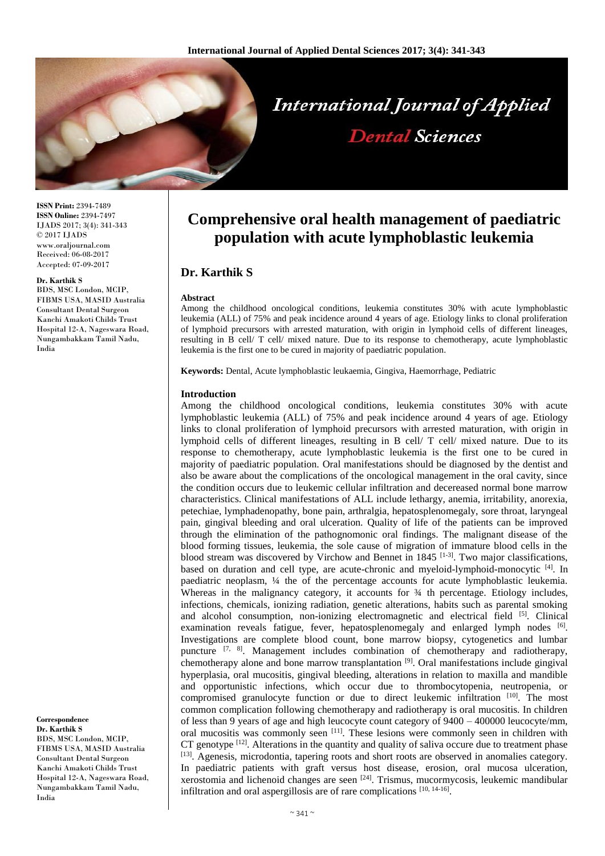

**ISSN Print:** 2394-7489 **ISSN Online:** 2394-7497 IJADS 2017; 3(4): 341-343 © 2017 IJADS www.oraljournal.com Received: 06-08-2017 Accepted: 07-09-2017

### **Dr. Karthik S**

BDS, MSC London, MCIP, FIBMS USA, MASID Australia Consultant Dental Surgeon Kanchi Amakoti Childs Trust Hospital 12-A, Nageswara Road, Nungambakkam Tamil Nadu, India

#### **Correspondence Dr. Karthik S**

BDS, MSC London, MCIP, FIBMS USA, MASID Australia Consultant Dental Surgeon Kanchi Amakoti Childs Trust Hospital 12-A, Nageswara Road, Nungambakkam Tamil Nadu, India

# **Comprehensive oral health management of paediatric population with acute lymphoblastic leukemia**

# **Dr. Karthik S**

## **Abstract**

Among the childhood oncological conditions, leukemia constitutes 30% with acute lymphoblastic leukemia (ALL) of 75% and peak incidence around 4 years of age. Etiology links to clonal proliferation of lymphoid precursors with arrested maturation, with origin in lymphoid cells of different lineages, resulting in B cell/ T cell/ mixed nature. Due to its response to chemotherapy, acute lymphoblastic leukemia is the first one to be cured in majority of paediatric population.

**Keywords:** Dental, Acute lymphoblastic leukaemia, Gingiva, Haemorrhage, Pediatric

# **Introduction**

Among the childhood oncological conditions, leukemia constitutes 30% with acute lymphoblastic leukemia (ALL) of 75% and peak incidence around 4 years of age. Etiology links to clonal proliferation of lymphoid precursors with arrested maturation, with origin in lymphoid cells of different lineages, resulting in B cell/ T cell/ mixed nature. Due to its response to chemotherapy, acute lymphoblastic leukemia is the first one to be cured in majority of paediatric population. Oral manifestations should be diagnosed by the dentist and also be aware about the complications of the oncological management in the oral cavity, since the condition occurs due to leukemic cellular infiltration and decereased normal bone marrow characteristics. Clinical manifestations of ALL include lethargy, anemia, irritability, anorexia, petechiae, lymphadenopathy, bone pain, arthralgia, hepatosplenomegaly, sore throat, laryngeal pain, gingival bleeding and oral ulceration. Quality of life of the patients can be improved through the elimination of the pathognomonic oral findings. The malignant disease of the blood forming tissues, leukemia, the sole cause of migration of immature blood cells in the blood stream was discovered by Virchow and Bennet in 1845<sup>[1-3]</sup>. Two major classifications, based on duration and cell type, are acute-chronic and myeloid-lymphoid-monocytic [4]. In paediatric neoplasm, ¼ the of the percentage accounts for acute lymphoblastic leukemia. Whereas in the malignancy category, it accounts for  $\frac{3}{4}$  th percentage. Etiology includes, infections, chemicals, ionizing radiation, genetic alterations, habits such as parental smoking and alcohol consumption, non-ionizing electromagnetic and electrical field [5]. Clinical examination reveals fatigue, fever, hepatosplenomegaly and enlarged lymph nodes [6]. Investigations are complete blood count, bone marrow biopsy, cytogenetics and lumbar puncture <sup>[7, 8]</sup>. Management includes combination of chemotherapy and radiotherapy, chemotherapy alone and bone marrow transplantation [9] . Oral manifestations include gingival hyperplasia, oral mucositis, gingival bleeding, alterations in relation to maxilla and mandible and opportunistic infections, which occur due to thrombocytopenia, neutropenia, or compromised granulocyte function or due to direct leukemic infiltration [10]. The most common complication following chemotherapy and radiotherapy is oral mucositis. In children of less than 9 years of age and high leucocyte count category of 9400 – 400000 leucocyte/mm, oral mucositis was commonly seen [11]. These lesions were commonly seen in children with CT genotype  $[12]$ . Alterations in the quantity and quality of saliva occure due to treatment phase [13]. Agenesis, microdontia, tapering roots and short roots are observed in anomalies category. In paediatric patients with graft versus host disease, erosion, oral mucosa ulceration, xerostomia and lichenoid changes are seen <sup>[24]</sup>. Trismus, mucormycosis, leukemic mandibular infiltration and oral aspergillosis are of rare complications [10, 14-16].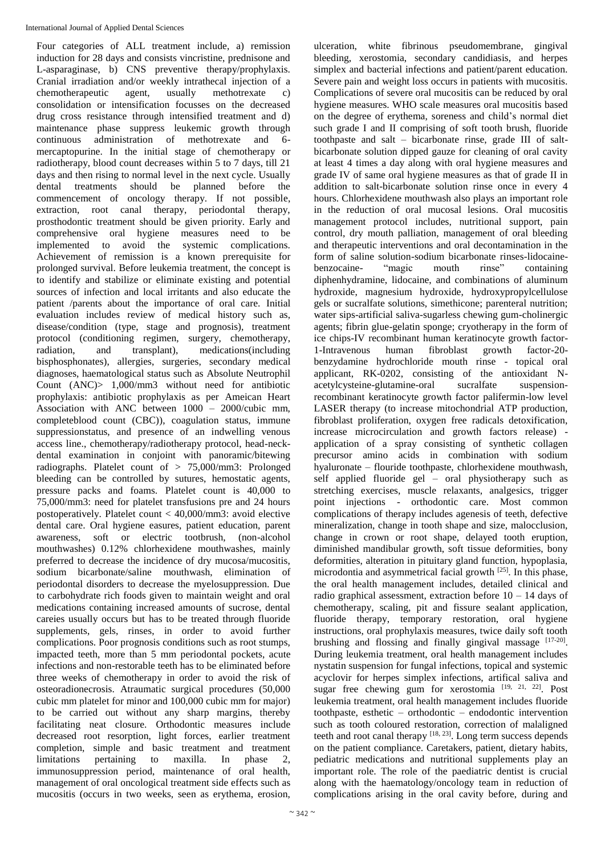Four categories of ALL treatment include, a) remission induction for 28 days and consists vincristine, prednisone and L-asparaginase, b) CNS preventive therapy/prophylaxis. Cranial irradiation and/or weekly intrathecal injection of a chemotherapeutic agent, usually methotrexate c) consolidation or intensification focusses on the decreased drug cross resistance through intensified treatment and d) maintenance phase suppress leukemic growth through continuous administration of methotrexate and 6 mercaptopurine. In the initial stage of chemotherapy or radiotherapy, blood count decreases within 5 to 7 days, till 21 days and then rising to normal level in the next cycle. Usually dental treatments should be planned before the commencement of oncology therapy. If not possible, extraction, root canal therapy, periodontal therapy, prosthodontic treatment should be given priority. Early and comprehensive oral hygiene measures need to be implemented to avoid the systemic complications. Achievement of remission is a known prerequisite for prolonged survival. Before leukemia treatment, the concept is to identify and stabilize or eliminate existing and potential sources of infection and local irritants and also educate the patient /parents about the importance of oral care. Initial evaluation includes review of medical history such as, disease/condition (type, stage and prognosis), treatment protocol (conditioning regimen, surgery, chemotherapy, radiation, and transplant), medications(including bisphosphonates), allergies, surgeries, secondary medical diagnoses, haematological status such as Absolute Neutrophil Count (ANC)> 1,000/mm3 without need for antibiotic prophylaxis: antibiotic prophylaxis as per Ameican Heart Association with ANC between 1000 – 2000/cubic mm, completeblood count (CBC)), coagulation status, immune suppressionstatus, and presence of an indwelling venous access line., chemotherapy/radiotherapy protocol, head-neckdental examination in conjoint with panoramic/bitewing radiographs. Platelet count of > 75,000/mm3: Prolonged bleeding can be controlled by sutures, hemostatic agents, pressure packs and foams. Platelet count is 40,000 to 75,000/mm3: need for platelet transfusions pre and 24 hours postoperatively. Platelet count < 40,000/mm3: avoid elective dental care. Oral hygiene easures, patient education, parent awareness, soft or electric tootbrush, (non-alcohol mouthwashes) 0.12% chlorhexidene mouthwashes, mainly preferred to decrease the incidence of dry mucosa/mucositis, sodium bicarbonate/saline mouthwash, elimination of periodontal disorders to decrease the myelosuppression. Due to carbohydrate rich foods given to maintain weight and oral medications containing increased amounts of sucrose, dental careies usually occurs but has to be treated through fluoride supplements, gels, rinses, in order to avoid further complications. Poor prognosis conditions such as root stumps, impacted teeth, more than 5 mm periodontal pockets, acute infections and non-restorable teeth has to be eliminated before three weeks of chemotherapy in order to avoid the risk of osteoradionecrosis. Atraumatic surgical procedures (50,000 cubic mm platelet for minor and 100,000 cubic mm for major) to be carried out without any sharp margins, thereby facilitating neat closure. Orthodontic measures include decreased root resorption, light forces, earlier treatment completion, simple and basic treatment and treatment limitations pertaining to maxilla. In phase 2. limitations pertaining to maxilla. In phase 2, immunosuppression period, maintenance of oral health, management of oral oncological treatment side effects such as mucositis (occurs in two weeks, seen as erythema, erosion,

ulceration, white fibrinous pseudomembrane, gingival bleeding, xerostomia, secondary candidiasis, and herpes simplex and bacterial infections and patient/parent education. Severe pain and weight loss occurs in patients with mucositis. Complications of severe oral mucositis can be reduced by oral hygiene measures. WHO scale measures oral mucositis based on the degree of erythema, soreness and child's normal diet such grade I and II comprising of soft tooth brush, fluoride toothpaste and salt – bicarbonate rinse, grade III of saltbicarbonate solution dipped gauze for cleaning of oral cavity at least 4 times a day along with oral hygiene measures and grade IV of same oral hygiene measures as that of grade II in addition to salt-bicarbonate solution rinse once in every 4 hours. Chlorhexidene mouthwash also plays an important role in the reduction of oral mucosal lesions. Oral mucositis management protocol includes, nutritional support, pain control, dry mouth palliation, management of oral bleeding and therapeutic interventions and oral decontamination in the form of saline solution-sodium bicarbonate rinses-lidocainebenzocaine- "magic mouth rinse" containing diphenhydramine, lidocaine, and combinations of aluminum hydroxide, magnesium hydroxide, hydroxypropylcellulose gels or sucralfate solutions, simethicone; parenteral nutrition; water sips-artificial saliva-sugarless chewing gum-cholinergic agents; fibrin glue-gelatin sponge; cryotherapy in the form of ice chips-IV recombinant human keratinocyte growth factor-1-Intravenous human fibroblast growth factor-20 benzydamine hydrochloride mouth rinse - topical oral applicant, RK-0202, consisting of the antioxidant Nacetylcysteine-glutamine-oral sucralfate suspensionrecombinant keratinocyte growth factor palifermin-low level LASER therapy (to increase mitochondrial ATP production, fibroblast proliferation, oxygen free radicals detoxification, increase microcirculation and growth factors release) application of a spray consisting of synthetic collagen precursor amino acids in combination with sodium hyaluronate – flouride toothpaste, chlorhexidene mouthwash, self applied fluoride gel – oral physiotherapy such as stretching exercises, muscle relaxants, analgesics, trigger point injections - orthodontic care. Most common complications of therapy includes agenesis of teeth, defective mineralization, change in tooth shape and size, malocclusion, change in crown or root shape, delayed tooth eruption, diminished mandibular growth, soft tissue deformities, bony deformities, alteration in pituitary gland function, hypoplasia, microdontia and asymmetrical facial growth [25]. In this phase, the oral health management includes, detailed clinical and radio graphical assessment, extraction before  $10 - 14$  days of chemotherapy, scaling, pit and fissure sealant application, fluoride therapy, temporary restoration, oral hygiene instructions, oral prophylaxis measures, twice daily soft tooth brushing and flossing and finally gingival massage  $[17-20]$ . During leukemia treatment, oral health management includes nystatin suspension for fungal infections, topical and systemic acyclovir for herpes simplex infections, artifical saliva and sugar free chewing gum for xerostomia [19, 21, 22]. Post leukemia treatment, oral health management includes fluoride toothpaste, esthetic – orthodontic – endodontic intervention such as tooth coloured restoration, correction of malaligned teeth and root canal therapy  $[18, 23]$ . Long term success depends on the patient compliance. Caretakers, patient, dietary habits, pediatric medications and nutritional supplements play an important role. The role of the paediatric dentist is crucial along with the haematology/oncology team in reduction of complications arising in the oral cavity before, during and